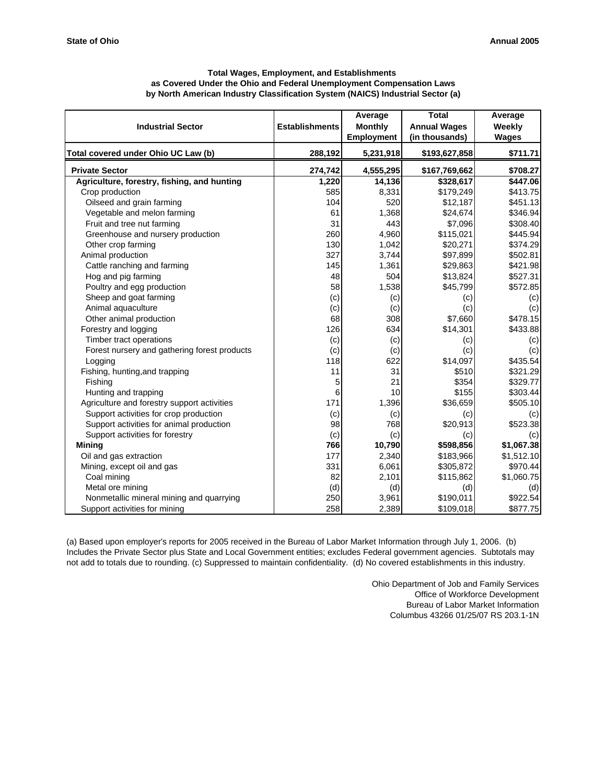| <b>Total Wages, Employment, and Establishments</b>                             |
|--------------------------------------------------------------------------------|
| as Covered Under the Ohio and Federal Unemployment Compensation Laws           |
| by North American Industry Classification System (NAICS) Industrial Sector (a) |

| <b>Industrial Sector</b>                     | <b>Establishments</b> | Average<br><b>Monthly</b>      | <b>Total</b><br><b>Annual Wages</b> | Average<br>Weekly |
|----------------------------------------------|-----------------------|--------------------------------|-------------------------------------|-------------------|
| Total covered under Ohio UC Law (b)          | 288,192               | <b>Employment</b><br>5,231,918 | (in thousands)<br>\$193,627,858     | Wages<br>\$711.71 |
| <b>Private Sector</b>                        | 274,742               | 4,555,295                      | \$167,769,662                       | \$708.27          |
| Agriculture, forestry, fishing, and hunting  | 1,220                 | 14,136                         | \$328,617                           | \$447.06          |
| Crop production                              | 585                   | 8,331                          | \$179,249                           | \$413.75          |
| Oilseed and grain farming                    | 104                   | 520                            | \$12,187                            | \$451.13          |
| Vegetable and melon farming                  | 61                    | 1,368                          | \$24,674                            | \$346.94          |
| Fruit and tree nut farming                   | 31                    | 443                            | \$7,096                             | \$308.40          |
| Greenhouse and nursery production            | 260                   | 4,960                          | \$115,021                           | \$445.94          |
| Other crop farming                           | 130                   | 1,042                          | \$20,271                            | \$374.29          |
| Animal production                            | 327                   | 3,744                          | \$97,899                            | \$502.81          |
| Cattle ranching and farming                  | 145                   | 1,361                          | \$29,863                            | \$421.98          |
| Hog and pig farming                          | 48                    | 504                            | \$13,824                            | \$527.31          |
| Poultry and egg production                   | 58                    | 1,538                          | \$45,799                            | \$572.85          |
| Sheep and goat farming                       | (c)                   | (c)                            | (c)                                 | (c)               |
| Animal aquaculture                           | (c)                   | (c)                            | (c)                                 | (c)               |
| Other animal production                      | 68                    | 308                            | \$7,660                             | \$478.15          |
| Forestry and logging                         | 126                   | 634                            | \$14,301                            | \$433.88          |
| Timber tract operations                      | (c)                   | (c)                            | (c)                                 | (c)               |
| Forest nursery and gathering forest products | (c)                   | (c)                            | (c)                                 | (c)               |
| Logging                                      | 118                   | 622                            | \$14,097                            | \$435.54          |
| Fishing, hunting, and trapping               | 11                    | 31                             | \$510                               | \$321.29          |
| Fishing                                      | 5                     | 21                             | \$354                               | \$329.77          |
| Hunting and trapping                         | 6                     | 10                             | \$155                               | \$303.44          |
| Agriculture and forestry support activities  | 171                   | 1,396                          | \$36,659                            | \$505.10          |
| Support activities for crop production       | (c)                   | (c)                            | (c)                                 | (c)               |
| Support activities for animal production     | 98                    | 768                            | \$20,913                            | \$523.38          |
| Support activities for forestry              | (c)                   | (c)                            | (c)                                 | (c)               |
| <b>Mining</b>                                | 766                   | 10,790                         | \$598,856                           | \$1,067.38        |
| Oil and gas extraction                       | 177                   | 2,340                          | \$183,966                           | \$1,512.10        |
| Mining, except oil and gas                   | 331                   | 6,061                          | \$305,872                           | \$970.44          |
| Coal mining                                  | 82                    | 2,101                          | \$115,862                           | \$1,060.75        |
| Metal ore mining                             | (d)                   | (d)                            | (d)                                 | (d)               |
| Nonmetallic mineral mining and quarrying     | 250                   | 3,961                          | \$190,011                           | \$922.54          |
| Support activities for mining                | 258                   | 2,389                          | \$109,018                           | \$877.75          |

(a) Based upon employer's reports for 2005 received in the Bureau of Labor Market Information through July 1, 2006. (b) Includes the Private Sector plus State and Local Government entities; excludes Federal government agencies. Subtotals may not add to totals due to rounding. (c) Suppressed to maintain confidentiality. (d) No covered establishments in this industry.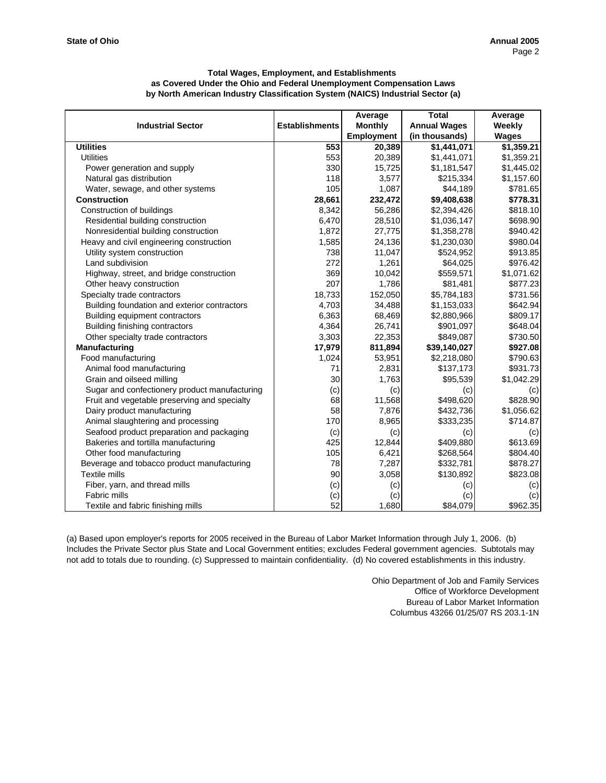|                                               |                       | Average           | <b>Total</b>        | Average      |
|-----------------------------------------------|-----------------------|-------------------|---------------------|--------------|
| <b>Industrial Sector</b>                      | <b>Establishments</b> | <b>Monthly</b>    | <b>Annual Wages</b> | Weekly       |
|                                               |                       | <b>Employment</b> | (in thousands)      | <b>Wages</b> |
| <b>Utilities</b>                              | 553                   | 20,389            | \$1,441,071         | \$1,359.21   |
| <b>Utilities</b>                              | 553                   | 20,389            | \$1,441,071         | \$1,359.21   |
| Power generation and supply                   | 330                   | 15,725            | \$1,181,547         | \$1,445.02   |
| Natural gas distribution                      | <b>118</b>            | 3,577             | \$215,334           | \$1,157.60   |
| Water, sewage, and other systems              | 105                   | 1,087             | \$44,189            | \$781.65     |
| <b>Construction</b>                           | 28,661                | 232,472           | \$9,408,638         | \$778.31     |
| Construction of buildings                     | 8,342                 | 56,286            | \$2,394,426         | \$818.10     |
| Residential building construction             | 6,470                 | 28,510            | \$1,036,147         | \$698.90     |
| Nonresidential building construction          | 1,872                 | 27,775            | \$1,358,278         | \$940.42     |
| Heavy and civil engineering construction      | 1,585                 | 24,136            | \$1,230,030         | \$980.04     |
| Utility system construction                   | 738                   | 11,047            | \$524,952           | \$913.85     |
| Land subdivision                              | 272                   | 1,261             | \$64,025            | \$976.42     |
| Highway, street, and bridge construction      | 369                   | 10,042            | \$559,571           | \$1,071.62   |
| Other heavy construction                      | 207                   | 1,786             | \$81,481            | \$877.23     |
| Specialty trade contractors                   | 18,733                | 152,050           | \$5,784,183         | \$731.56     |
| Building foundation and exterior contractors  | 4,703                 | 34,488            | \$1,153,033         | \$642.94     |
| Building equipment contractors                | 6,363                 | 68,469            | \$2,880,966         | \$809.17     |
| Building finishing contractors                | 4,364                 | 26,741            | \$901,097           | \$648.04     |
| Other specialty trade contractors             | 3,303                 | 22,353            | \$849,087           | \$730.50     |
| Manufacturing                                 | 17,979                | 811,894           | \$39,140,027        | \$927.08     |
| Food manufacturing                            | 1,024                 | 53,951            | \$2,218,080         | \$790.63     |
| Animal food manufacturing                     | 71                    | 2,831             | \$137,173           | \$931.73     |
| Grain and oilseed milling                     | 30                    | 1,763             | \$95,539            | \$1,042.29   |
| Sugar and confectionery product manufacturing | (c)                   | (c)               | (c)                 | (c)          |
| Fruit and vegetable preserving and specialty  | 68                    | 11,568            | \$498,620           | \$828.90     |
| Dairy product manufacturing                   | 58                    | 7,876             | \$432,736           | \$1,056.62   |
| Animal slaughtering and processing            | 170                   | 8,965             | \$333,235           | \$714.87     |
| Seafood product preparation and packaging     | (c)                   | (c)               | (c)                 | (c)          |
| Bakeries and tortilla manufacturing           | 425                   | 12,844            | \$409,880           | \$613.69     |
| Other food manufacturing                      | 105                   | 6,421             | \$268,564           | \$804.40     |
| Beverage and tobacco product manufacturing    | 78                    | 7,287             | \$332,781           | \$878.27     |
| <b>Textile mills</b>                          | 90                    | 3,058             | \$130,892           | \$823.08     |
| Fiber, yarn, and thread mills                 | (c)                   | (c)               | (c)                 | (c)          |
| <b>Fabric mills</b>                           | (c)                   | (c)               | (c)                 | (c)          |
| Textile and fabric finishing mills            | 52                    | 1,680             | \$84,079            | \$962.35     |

(a) Based upon employer's reports for 2005 received in the Bureau of Labor Market Information through July 1, 2006. (b) Includes the Private Sector plus State and Local Government entities; excludes Federal government agencies. Subtotals may not add to totals due to rounding. (c) Suppressed to maintain confidentiality. (d) No covered establishments in this industry.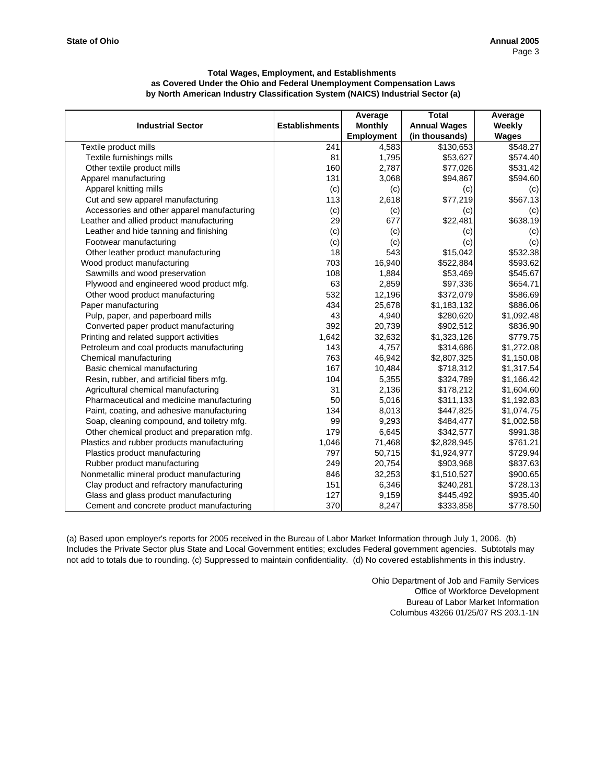|                                             |                       | Average           | <b>Total</b>        | Average      |
|---------------------------------------------|-----------------------|-------------------|---------------------|--------------|
| <b>Industrial Sector</b>                    | <b>Establishments</b> | <b>Monthly</b>    | <b>Annual Wages</b> | Weekly       |
|                                             |                       | <b>Employment</b> | (in thousands)      | <b>Wages</b> |
| Textile product mills                       | 241                   | 4,583             | \$130,653           | \$548.27     |
| Textile furnishings mills                   | 81                    | 1,795             | \$53,627            | \$574.40     |
| Other textile product mills                 | 160                   | 2,787             | \$77,026            | \$531.42     |
| Apparel manufacturing                       | 131                   | 3,068             | \$94,867            | \$594.60     |
| Apparel knitting mills                      | (c)                   | (c)               | (c)                 | (c)          |
| Cut and sew apparel manufacturing           | 113                   | 2,618             | \$77,219            | \$567.13     |
| Accessories and other apparel manufacturing | (c)                   | (c)               | (c)                 | (c)          |
| Leather and allied product manufacturing    | 29                    | 677               | \$22,481            | \$638.19     |
| Leather and hide tanning and finishing      | (c)                   | (c)               | (c)                 | (c)          |
| Footwear manufacturing                      | (c)                   | (c)               | (c)                 | (c)          |
| Other leather product manufacturing         | 18                    | 543               | \$15,042            | \$532.38     |
| Wood product manufacturing                  | 703                   | 16,940            | \$522,884           | \$593.62     |
| Sawmills and wood preservation              | 108                   | 1,884             | \$53,469            | \$545.67     |
| Plywood and engineered wood product mfg.    | 63                    | 2,859             | \$97,336            | \$654.71     |
| Other wood product manufacturing            | 532                   | 12,196            | \$372,079           | \$586.69     |
| Paper manufacturing                         | 434                   | 25,678            | \$1,183,132         | \$886.06     |
| Pulp, paper, and paperboard mills           | 43                    | 4,940             | \$280,620           | \$1,092.48   |
| Converted paper product manufacturing       | 392                   | 20,739            | \$902,512           | \$836.90     |
| Printing and related support activities     | 1,642                 | 32,632            | \$1,323,126         | \$779.75     |
| Petroleum and coal products manufacturing   | 143                   | 4,757             | \$314,686           | \$1,272.08   |
| Chemical manufacturing                      | 763                   | 46,942            | \$2,807,325         | \$1,150.08   |
| Basic chemical manufacturing                | 167                   | 10,484            | \$718,312           | \$1,317.54   |
| Resin, rubber, and artificial fibers mfg.   | 104                   | 5,355             | \$324,789           | \$1,166.42   |
| Agricultural chemical manufacturing         | 31                    | 2,136             | \$178,212           | \$1,604.60   |
| Pharmaceutical and medicine manufacturing   | 50                    | 5,016             | \$311,133           | \$1,192.83   |
| Paint, coating, and adhesive manufacturing  | 134                   | 8,013             | \$447,825           | \$1,074.75   |
| Soap, cleaning compound, and toiletry mfg.  | 99                    | 9,293             | \$484,477           | \$1,002.58   |
| Other chemical product and preparation mfg. | 179                   | 6,645             | \$342,577           | \$991.38     |
| Plastics and rubber products manufacturing  | 1,046                 | 71,468            | \$2,828,945         | \$761.21     |
| Plastics product manufacturing              | 797                   | 50,715            | \$1,924,977         | \$729.94     |
| Rubber product manufacturing                | 249                   | 20,754            | \$903,968           | \$837.63     |
| Nonmetallic mineral product manufacturing   | 846                   | 32,253            | \$1,510,527         | \$900.65     |
| Clay product and refractory manufacturing   | 151                   | 6,346             | \$240,281           | \$728.13     |
| Glass and glass product manufacturing       | 127                   | 9,159             | \$445,492           | \$935.40     |
| Cement and concrete product manufacturing   | 370                   | 8,247             | \$333,858           | \$778.50     |

(a) Based upon employer's reports for 2005 received in the Bureau of Labor Market Information through July 1, 2006. (b) Includes the Private Sector plus State and Local Government entities; excludes Federal government agencies. Subtotals may not add to totals due to rounding. (c) Suppressed to maintain confidentiality. (d) No covered establishments in this industry.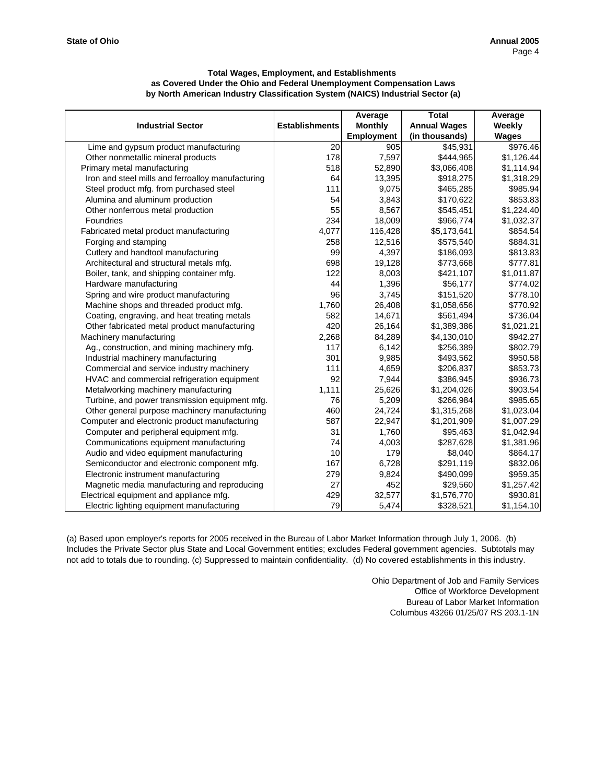|                                                   |                       | Average           | <b>Total</b>        | Average      |
|---------------------------------------------------|-----------------------|-------------------|---------------------|--------------|
| <b>Industrial Sector</b>                          | <b>Establishments</b> | <b>Monthly</b>    | <b>Annual Wages</b> | Weekly       |
|                                                   |                       | <b>Employment</b> | (in thousands)      | <b>Wages</b> |
| Lime and gypsum product manufacturing             | 20                    | 905               | \$45,931            | \$976.46     |
| Other nonmetallic mineral products                | 178                   | 7,597             | \$444,965           | \$1,126.44   |
| Primary metal manufacturing                       | 518                   | 52,890            | \$3,066,408         | \$1,114.94   |
| Iron and steel mills and ferroalloy manufacturing | 64                    | 13,395            | \$918,275           | \$1,318.29   |
| Steel product mfg. from purchased steel           | 111                   | 9,075             | \$465,285           | \$985.94     |
| Alumina and aluminum production                   | 54                    | 3,843             | \$170,622           | \$853.83     |
| Other nonferrous metal production                 | 55                    | 8,567             | \$545,451           | \$1,224.40   |
| Foundries                                         | 234                   | 18,009            | \$966,774           | \$1,032.37   |
| Fabricated metal product manufacturing            | 4,077                 | 116,428           | \$5,173,641         | \$854.54     |
| Forging and stamping                              | 258                   | 12,516            | \$575,540           | \$884.31     |
| Cutlery and handtool manufacturing                | 99                    | 4,397             | \$186,093           | \$813.83     |
| Architectural and structural metals mfg.          | 698                   | 19,128            | \$773,668           | \$777.81     |
| Boiler, tank, and shipping container mfg.         | 122                   | 8,003             | \$421,107           | \$1,011.87   |
| Hardware manufacturing                            | 44                    | 1,396             | \$56,177            | \$774.02     |
| Spring and wire product manufacturing             | 96                    | 3,745             | \$151,520           | \$778.10     |
| Machine shops and threaded product mfg.           | 1,760                 | 26,408            | \$1,058,656         | \$770.92     |
| Coating, engraving, and heat treating metals      | 582                   | 14,671            | \$561,494           | \$736.04     |
| Other fabricated metal product manufacturing      | 420                   | 26,164            | \$1,389,386         | \$1,021.21   |
| Machinery manufacturing                           | 2,268                 | 84,289            | \$4,130,010         | \$942.27     |
| Ag., construction, and mining machinery mfg.      | 117                   | 6,142             | \$256,389           | \$802.79     |
| Industrial machinery manufacturing                | 301                   | 9,985             | \$493,562           | \$950.58     |
| Commercial and service industry machinery         | 111                   | 4,659             | \$206,837           | \$853.73     |
| HVAC and commercial refrigeration equipment       | 92                    | 7,944             | \$386,945           | \$936.73     |
| Metalworking machinery manufacturing              | 1,111                 | 25,626            | \$1,204,026         | \$903.54     |
| Turbine, and power transmission equipment mfg.    | 76                    | 5,209             | \$266,984           | \$985.65     |
| Other general purpose machinery manufacturing     | 460                   | 24,724            | \$1,315,268         | \$1,023.04   |
| Computer and electronic product manufacturing     | 587                   | 22,947            | \$1,201,909         | \$1,007.29   |
| Computer and peripheral equipment mfg.            | 31                    | 1,760             | \$95,463            | \$1,042.94   |
| Communications equipment manufacturing            | 74                    | 4,003             | \$287,628           | \$1,381.96   |
| Audio and video equipment manufacturing           | 10                    | 179               | \$8,040             | \$864.17     |
| Semiconductor and electronic component mfg.       | 167                   | 6,728             | \$291,119           | \$832.06     |
| Electronic instrument manufacturing               | 279                   | 9,824             | \$490,099           | \$959.35     |
| Magnetic media manufacturing and reproducing      | 27                    | 452               | \$29,560            | \$1,257.42   |
| Electrical equipment and appliance mfg.           | 429                   | 32,577            | \$1,576,770         | \$930.81     |
| Electric lighting equipment manufacturing         | 79                    | 5,474             | \$328,521           | \$1,154.10   |

(a) Based upon employer's reports for 2005 received in the Bureau of Labor Market Information through July 1, 2006. (b) Includes the Private Sector plus State and Local Government entities; excludes Federal government agencies. Subtotals may not add to totals due to rounding. (c) Suppressed to maintain confidentiality. (d) No covered establishments in this industry.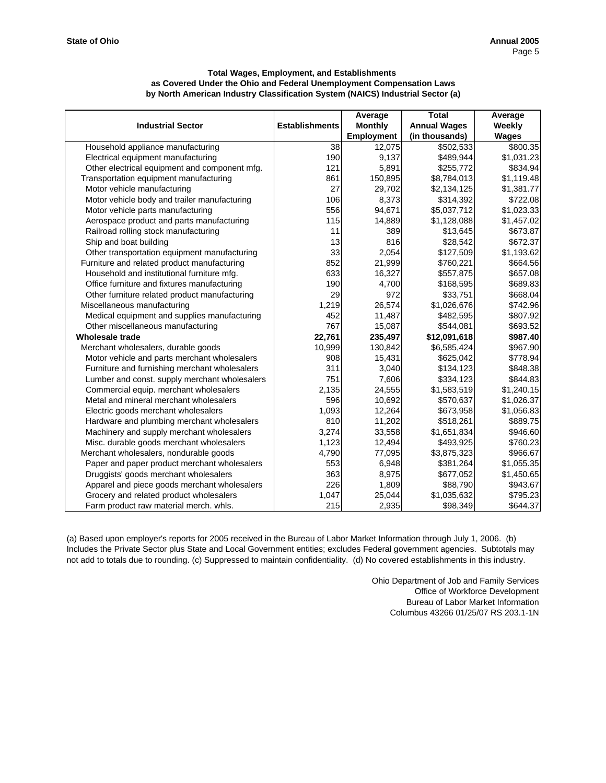|                                               |                       | Average           | <b>Total</b>        | Average      |
|-----------------------------------------------|-----------------------|-------------------|---------------------|--------------|
| <b>Industrial Sector</b>                      | <b>Establishments</b> | <b>Monthly</b>    | <b>Annual Wages</b> | Weekly       |
|                                               |                       | <b>Employment</b> | (in thousands)      | <b>Wages</b> |
| Household appliance manufacturing             | 38                    | 12,075            | \$502,533           | \$800.35     |
| Electrical equipment manufacturing            | 190                   | 9,137             | \$489,944           | \$1,031.23   |
| Other electrical equipment and component mfg. | 121                   | 5,891             | \$255,772           | \$834.94     |
| Transportation equipment manufacturing        | 861                   | 150,895           | \$8,784,013         | \$1,119.48   |
| Motor vehicle manufacturing                   | 27                    | 29,702            | \$2,134,125         | \$1,381.77   |
| Motor vehicle body and trailer manufacturing  | 106                   | 8,373             | \$314,392           | \$722.08     |
| Motor vehicle parts manufacturing             | 556                   | 94,671            | \$5,037,712         | \$1,023.33   |
| Aerospace product and parts manufacturing     | 115                   | 14,889            | \$1,128,088         | \$1,457.02   |
| Railroad rolling stock manufacturing          | 11                    | 389               | \$13,645            | \$673.87     |
| Ship and boat building                        | 13                    | 816               | \$28,542            | \$672.37     |
| Other transportation equipment manufacturing  | 33                    | 2,054             | \$127,509           | \$1,193.62   |
| Furniture and related product manufacturing   | 852                   | 21,999            | \$760,221           | \$664.56     |
| Household and institutional furniture mfg.    | 633                   | 16,327            | \$557,875           | \$657.08     |
| Office furniture and fixtures manufacturing   | 190                   | 4,700             | \$168,595           | \$689.83     |
| Other furniture related product manufacturing | 29                    | 972               | \$33,751            | \$668.04     |
| Miscellaneous manufacturing                   | 1,219                 | 26,574            | \$1,026,676         | \$742.96     |
| Medical equipment and supplies manufacturing  | 452                   | 11,487            | \$482,595           | \$807.92     |
| Other miscellaneous manufacturing             | 767                   | 15,087            | \$544,081           | \$693.52     |
| <b>Wholesale trade</b>                        | 22,761                | 235,497           | \$12,091,618        | \$987.40     |
| Merchant wholesalers, durable goods           | 10,999                | 130,842           | \$6,585,424         | \$967.90     |
| Motor vehicle and parts merchant wholesalers  | 908                   | 15,431            | \$625,042           | \$778.94     |
| Furniture and furnishing merchant wholesalers | 311                   | 3,040             | \$134,123           | \$848.38     |
| Lumber and const. supply merchant wholesalers | 751                   | 7,606             | \$334,123           | \$844.83     |
| Commercial equip. merchant wholesalers        | 2,135                 | 24,555            | \$1,583,519         | \$1,240.15   |
| Metal and mineral merchant wholesalers        | 596                   | 10,692            | \$570,637           | \$1,026.37   |
| Electric goods merchant wholesalers           | 1,093                 | 12,264            | \$673,958           | \$1,056.83   |
| Hardware and plumbing merchant wholesalers    | 810                   | 11,202            | \$518,261           | \$889.75     |
| Machinery and supply merchant wholesalers     | 3,274                 | 33,558            | \$1,651,834         | \$946.60     |
| Misc. durable goods merchant wholesalers      | 1,123                 | 12,494            | \$493,925           | \$760.23     |
| Merchant wholesalers, nondurable goods        | 4,790                 | 77,095            | \$3,875,323         | \$966.67     |
| Paper and paper product merchant wholesalers  | 553                   | 6,948             | \$381,264           | \$1,055.35   |
| Druggists' goods merchant wholesalers         | 363                   | 8,975             | \$677,052           | \$1,450.65   |
| Apparel and piece goods merchant wholesalers  | 226                   | 1,809             | \$88,790            | \$943.67     |
| Grocery and related product wholesalers       | 1,047                 | 25,044            | \$1,035,632         | \$795.23     |
| Farm product raw material merch. whls.        | 215                   | 2,935             | \$98,349            | \$644.37     |

(a) Based upon employer's reports for 2005 received in the Bureau of Labor Market Information through July 1, 2006. (b) Includes the Private Sector plus State and Local Government entities; excludes Federal government agencies. Subtotals may not add to totals due to rounding. (c) Suppressed to maintain confidentiality. (d) No covered establishments in this industry.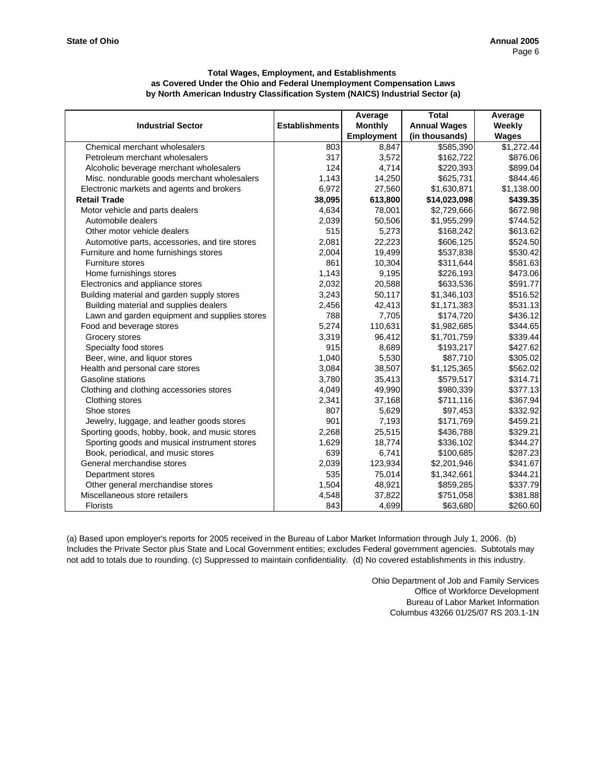|                                                |                       | Average        | <b>Total</b>        | Average    |
|------------------------------------------------|-----------------------|----------------|---------------------|------------|
| <b>Industrial Sector</b>                       | <b>Establishments</b> | <b>Monthly</b> | <b>Annual Wages</b> | Weekly     |
|                                                |                       | Employment     | (in thousands)      | Wages      |
| Chemical merchant wholesalers                  | 803                   | 8,847          | \$585,390           | \$1,272.44 |
| Petroleum merchant wholesalers                 | 317                   | 3,572          | \$162,722           | \$876.06   |
| Alcoholic beverage merchant wholesalers        | 124                   | 4,714          | \$220,393           | \$899.04   |
| Misc. nondurable goods merchant wholesalers    | 1,143                 | 14,250         | \$625,731           | \$844.46   |
| Electronic markets and agents and brokers      | 6,972                 | 27,560         | \$1,630,871         | \$1,138.00 |
| <b>Retail Trade</b>                            | 38,095                | 613,800        | \$14,023,098        | \$439.35   |
| Motor vehicle and parts dealers                | 4,634                 | 78,001         | \$2,729,666         | \$672.98   |
| Automobile dealers                             | 2,039                 | 50,506         | \$1,955,299         | \$744.52   |
| Other motor vehicle dealers                    | 515                   | 5,273          | \$168,242           | \$613.62   |
| Automotive parts, accessories, and tire stores | 2,081                 | 22,223         | \$606,125           | \$524.50   |
| Furniture and home furnishings stores          | 2,004                 | 19,499         | \$537,838           | \$530.42   |
| Furniture stores                               | 861                   | 10,304         | \$311,644           | \$581.63   |
| Home furnishings stores                        | 1,143                 | 9,195          | \$226,193           | \$473.06   |
| Electronics and appliance stores               | 2,032                 | 20,588         | \$633,536           | \$591.77   |
| Building material and garden supply stores     | 3,243                 | 50,117         | \$1,346,103         | \$516.52   |
| Building material and supplies dealers         | 2,456                 | 42,413         | \$1,171,383         | \$531.13   |
| Lawn and garden equipment and supplies stores  | 788                   | 7,705          | \$174,720           | \$436.12   |
| Food and beverage stores                       | 5,274                 | 110,631        | \$1,982,685         | \$344.65   |
| Grocery stores                                 | 3,319                 | 96,412         | \$1,701,759         | \$339.44   |
| Specialty food stores                          | 915                   | 8,689          | \$193,217           | \$427.62   |
| Beer, wine, and liquor stores                  | 1,040                 | 5,530          | \$87,710            | \$305.02   |
| Health and personal care stores                | 3,084                 | 38,507         | \$1,125,365         | \$562.02   |
| Gasoline stations                              | 3,780                 | 35,413         | \$579,517           | \$314.71   |
| Clothing and clothing accessories stores       | 4,049                 | 49,990         | \$980,339           | \$377.13   |
| Clothing stores                                | 2,341                 | 37,168         | \$711,116           | \$367.94   |
| Shoe stores                                    | 807                   | 5,629          | \$97,453            | \$332.92   |
| Jewelry, luggage, and leather goods stores     | 901                   | 7,193          | \$171,769           | \$459.21   |
| Sporting goods, hobby, book, and music stores  | 2,268                 | 25,515         | \$436,788           | \$329.21   |
| Sporting goods and musical instrument stores   | 1,629                 | 18,774         | \$336,102           | \$344.27   |
| Book, periodical, and music stores             | 639                   | 6,741          | \$100,685           | \$287.23   |
| General merchandise stores                     | 2,039                 | 123,934        | \$2,201,946         | \$341.67   |
| Department stores                              | 535                   | 75,014         | \$1,342,661         | \$344.21   |
| Other general merchandise stores               | 1,504                 | 48,921         | \$859,285           | \$337.79   |
| Miscellaneous store retailers                  | 4,548                 | 37,822         | \$751,058           | \$381.88   |
| <b>Florists</b>                                | 843                   | 4,699          | \$63,680            | \$260.60   |

(a) Based upon employer's reports for 2005 received in the Bureau of Labor Market Information through July 1, 2006. (b) Includes the Private Sector plus State and Local Government entities; excludes Federal government agencies. Subtotals may not add to totals due to rounding. (c) Suppressed to maintain confidentiality. (d) No covered establishments in this industry.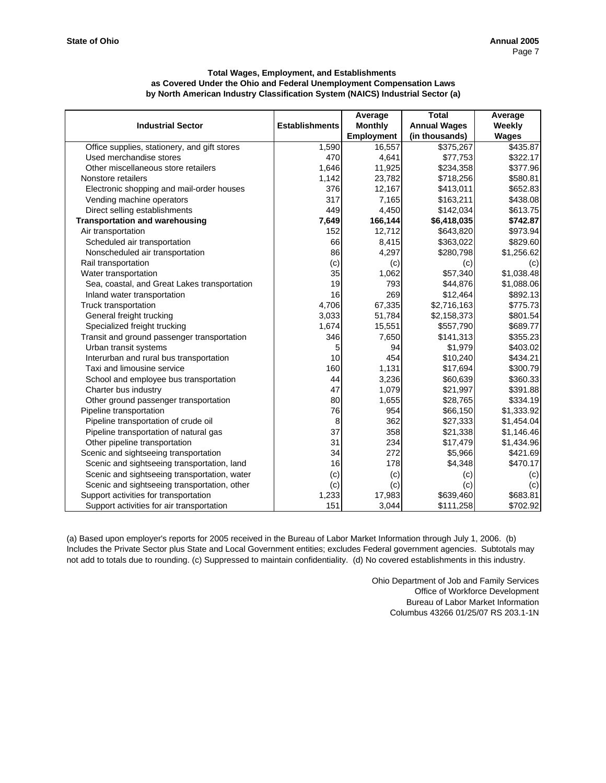|                                              |                       | Average           | <b>Total</b>        | Average      |
|----------------------------------------------|-----------------------|-------------------|---------------------|--------------|
| <b>Industrial Sector</b>                     | <b>Establishments</b> | <b>Monthly</b>    | <b>Annual Wages</b> | Weekly       |
|                                              |                       | <b>Employment</b> | (in thousands)      | <b>Wages</b> |
| Office supplies, stationery, and gift stores | 1,590                 | 16,557            | \$375,267           | \$435.87     |
| Used merchandise stores                      | 470                   | 4,641             | \$77,753            | \$322.17     |
| Other miscellaneous store retailers          | 1,646                 | 11,925            | \$234,358           | \$377.96     |
| Nonstore retailers                           | 1,142                 | 23,782            | \$718,256           | \$580.81     |
| Electronic shopping and mail-order houses    | 376                   | 12,167            | \$413,011           | \$652.83     |
| Vending machine operators                    | 317                   | 7,165             | \$163,211           | \$438.08     |
| Direct selling establishments                | 449                   | 4,450             | \$142,034           | \$613.75     |
| <b>Transportation and warehousing</b>        | 7,649                 | 166,144           | \$6,418,035         | \$742.87     |
| Air transportation                           | 152                   | 12,712            | \$643,820           | \$973.94     |
| Scheduled air transportation                 | 66                    | 8,415             | \$363,022           | \$829.60     |
| Nonscheduled air transportation              | 86                    | 4,297             | \$280,798           | \$1,256.62   |
| Rail transportation                          | (c)                   | (c)               | (c)                 | (c)          |
| Water transportation                         | 35                    | 1,062             | \$57,340            | \$1,038.48   |
| Sea, coastal, and Great Lakes transportation | 19                    | 793               | \$44,876            | \$1,088.06   |
| Inland water transportation                  | 16                    | 269               | \$12,464            | \$892.13     |
| Truck transportation                         | 4,706                 | 67,335            | \$2,716,163         | \$775.73     |
| General freight trucking                     | 3,033                 | 51,784            | \$2,158,373         | \$801.54     |
| Specialized freight trucking                 | 1,674                 | 15,551            | \$557,790           | \$689.77     |
| Transit and ground passenger transportation  | 346                   | 7,650             | \$141,313           | \$355.23     |
| Urban transit systems                        | 5                     | 94                | \$1,979             | \$403.02     |
| Interurban and rural bus transportation      | 10                    | 454               | \$10,240            | \$434.21     |
| Taxi and limousine service                   | 160                   | 1,131             | \$17,694            | \$300.79     |
| School and employee bus transportation       | 44                    | 3,236             | \$60,639            | \$360.33     |
| Charter bus industry                         | 47                    | 1,079             | \$21,997            | \$391.88     |
| Other ground passenger transportation        | 80                    | 1,655             | \$28,765            | \$334.19     |
| Pipeline transportation                      | 76                    | 954               | \$66,150            | \$1,333.92   |
| Pipeline transportation of crude oil         | 8                     | 362               | \$27,333            | \$1,454.04   |
| Pipeline transportation of natural gas       | 37                    | 358               | \$21,338            | \$1,146.46   |
| Other pipeline transportation                | 31                    | 234               | \$17,479            | \$1,434.96   |
| Scenic and sightseeing transportation        | 34                    | 272               | \$5,966             | \$421.69     |
| Scenic and sightseeing transportation, land  | 16                    | 178               | \$4,348             | \$470.17     |
| Scenic and sightseeing transportation, water | (c)                   | (c)               | (c)                 | (c)          |
| Scenic and sightseeing transportation, other | (c)                   | (c)               | (c)                 | (c)          |
| Support activities for transportation        | 1,233                 | 17,983            | \$639.460           | \$683.81     |
| Support activities for air transportation    | 151                   | 3,044             | \$111,258           | \$702.92     |

(a) Based upon employer's reports for 2005 received in the Bureau of Labor Market Information through July 1, 2006. (b) Includes the Private Sector plus State and Local Government entities; excludes Federal government agencies. Subtotals may not add to totals due to rounding. (c) Suppressed to maintain confidentiality. (d) No covered establishments in this industry.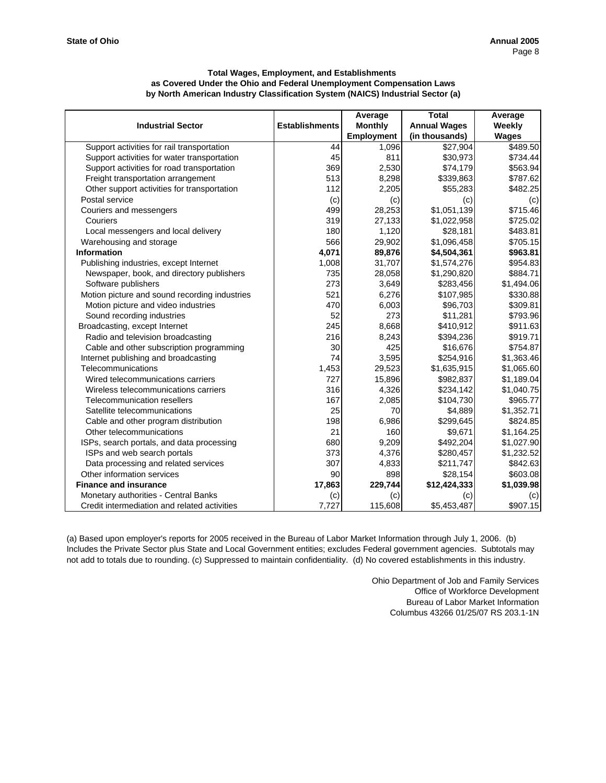|                                               |                       | Average           | <b>Total</b>        | Average      |
|-----------------------------------------------|-----------------------|-------------------|---------------------|--------------|
| <b>Industrial Sector</b>                      | <b>Establishments</b> | <b>Monthly</b>    | <b>Annual Wages</b> | Weekly       |
|                                               |                       | <b>Employment</b> | (in thousands)      | <b>Wages</b> |
| Support activities for rail transportation    | 44                    | 1,096             | \$27,904            | \$489.50     |
| Support activities for water transportation   | 45                    | 811               | \$30,973            | \$734.44     |
| Support activities for road transportation    | 369                   | 2,530             | \$74,179            | \$563.94     |
| Freight transportation arrangement            | 513                   | 8,298             | \$339,863           | \$787.62     |
| Other support activities for transportation   | 112                   | 2,205             | \$55,283            | \$482.25     |
| Postal service                                | (c)                   | (c)               | (c)                 | (c)          |
| Couriers and messengers                       | 499                   | 28,253            | \$1,051,139         | \$715.46     |
| Couriers                                      | 319                   | 27,133            | \$1,022,958         | \$725.02     |
| Local messengers and local delivery           | 180                   | 1,120             | \$28,181            | \$483.81     |
| Warehousing and storage                       | 566                   | 29,902            | \$1,096,458         | \$705.15     |
| <b>Information</b>                            | 4,071                 | 89,876            | \$4,504,361         | \$963.81     |
| Publishing industries, except Internet        | 1,008                 | 31,707            | \$1,574,276         | \$954.83     |
| Newspaper, book, and directory publishers     | 735                   | 28,058            | \$1,290,820         | \$884.71     |
| Software publishers                           | 273                   | 3,649             | \$283,456           | \$1,494.06   |
| Motion picture and sound recording industries | 521                   | 6,276             | \$107,985           | \$330.88     |
| Motion picture and video industries           | 470                   | 6,003             | \$96,703            | \$309.81     |
| Sound recording industries                    | 52                    | 273               | \$11,281            | \$793.96     |
| Broadcasting, except Internet                 | 245                   | 8,668             | \$410,912           | \$911.63     |
| Radio and television broadcasting             | 216                   | 8,243             | \$394,236           | \$919.71     |
| Cable and other subscription programming      | 30                    | 425               | \$16,676            | \$754.87     |
| Internet publishing and broadcasting          | 74                    | 3,595             | \$254,916           | \$1,363.46   |
| Telecommunications                            | 1,453                 | 29,523            | \$1,635,915         | \$1,065.60   |
| Wired telecommunications carriers             | 727                   | 15,896            | \$982,837           | \$1,189.04   |
| Wireless telecommunications carriers          | 316                   | 4,326             | \$234,142           | \$1,040.75   |
| Telecommunication resellers                   | 167                   | 2,085             | \$104,730           | \$965.77     |
| Satellite telecommunications                  | 25                    | 70                | \$4,889             | \$1,352.71   |
| Cable and other program distribution          | <b>198</b>            | 6,986             | \$299,645           | \$824.85     |
| Other telecommunications                      | 21                    | 160               | \$9,671             | \$1,164.25   |
| ISPs, search portals, and data processing     | 680                   | 9,209             | \$492,204           | \$1,027.90   |
| ISPs and web search portals                   | 373                   | 4,376             | \$280,457           | \$1,232.52   |
| Data processing and related services          | 307                   | 4,833             | \$211,747           | \$842.63     |
| Other information services                    | 90                    | 898               | \$28,154            | \$603.08     |
| <b>Finance and insurance</b>                  | 17,863                | 229,744           | \$12,424,333        | \$1,039.98   |
| Monetary authorities - Central Banks          | (c)                   | (c)               | (c)                 | (c)          |
| Credit intermediation and related activities  | 7,727                 | 115,608           | \$5,453,487         | \$907.15     |

(a) Based upon employer's reports for 2005 received in the Bureau of Labor Market Information through July 1, 2006. (b) Includes the Private Sector plus State and Local Government entities; excludes Federal government agencies. Subtotals may not add to totals due to rounding. (c) Suppressed to maintain confidentiality. (d) No covered establishments in this industry.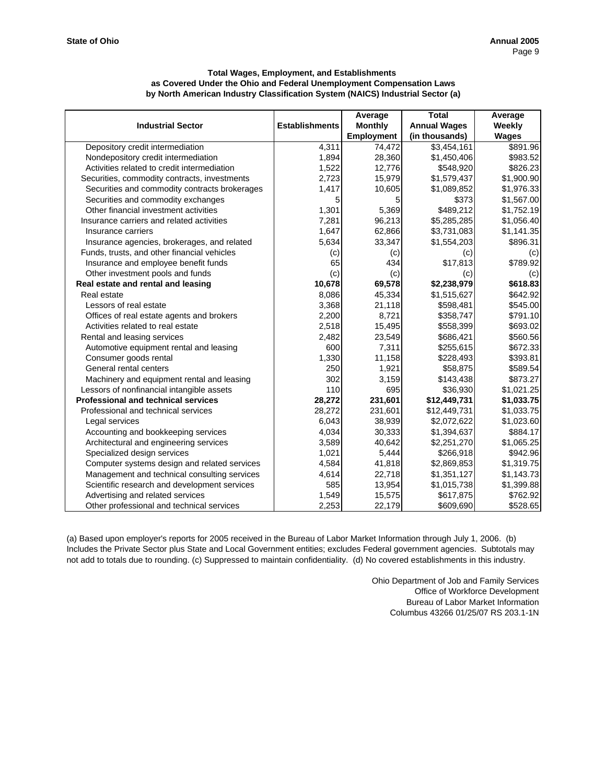|                                               |                       | Average           | <b>Total</b>        | Average      |
|-----------------------------------------------|-----------------------|-------------------|---------------------|--------------|
| <b>Industrial Sector</b>                      | <b>Establishments</b> | <b>Monthly</b>    | <b>Annual Wages</b> | Weekly       |
|                                               |                       | <b>Employment</b> | (in thousands)      | <b>Wages</b> |
| Depository credit intermediation              | 4,311                 | 74,472            | \$3,454,161         | \$891.96     |
| Nondepository credit intermediation           | 1,894                 | 28,360            | \$1,450,406         | \$983.52     |
| Activities related to credit intermediation   | 1,522                 | 12,776            | \$548,920           | \$826.23     |
| Securities, commodity contracts, investments  | 2,723                 | 15,979            | \$1,579,437         | \$1,900.90   |
| Securities and commodity contracts brokerages | 1,417                 | 10,605            | \$1,089,852         | \$1,976.33   |
| Securities and commodity exchanges            | 5                     | 5                 | \$373               | \$1,567.00   |
| Other financial investment activities         | 1,301                 | 5,369             | \$489,212           | \$1,752.19   |
| Insurance carriers and related activities     | 7,281                 | 96,213            | \$5,285,285         | \$1,056.40   |
| Insurance carriers                            | 1,647                 | 62,866            | \$3,731,083         | \$1,141.35   |
| Insurance agencies, brokerages, and related   | 5,634                 | 33,347            | \$1,554,203         | \$896.31     |
| Funds, trusts, and other financial vehicles   | (c)                   | (c)               | (c)                 | (c)          |
| Insurance and employee benefit funds          | 65                    | 434               | \$17,813            | \$789.92     |
| Other investment pools and funds              | (c)                   | (c)               | (c)                 | (c)          |
| Real estate and rental and leasing            | 10,678                | 69,578            | \$2,238,979         | \$618.83     |
| Real estate                                   | 8,086                 | 45,334            | \$1,515,627         | \$642.92     |
| Lessors of real estate                        | 3,368                 | 21,118            | \$598,481           | \$545.00     |
| Offices of real estate agents and brokers     | 2,200                 | 8,721             | \$358,747           | \$791.10     |
| Activities related to real estate             | 2,518                 | 15,495            | \$558,399           | \$693.02     |
| Rental and leasing services                   | 2,482                 | 23,549            | \$686,421           | \$560.56     |
| Automotive equipment rental and leasing       | 600                   | 7,311             | \$255,615           | \$672.33     |
| Consumer goods rental                         | 1,330                 | 11,158            | \$228,493           | \$393.81     |
| General rental centers                        | 250                   | 1,921             | \$58,875            | \$589.54     |
| Machinery and equipment rental and leasing    | 302                   | 3,159             | \$143,438           | \$873.27     |
| Lessors of nonfinancial intangible assets     | 110                   | 695               | \$36,930            | \$1,021.25   |
| <b>Professional and technical services</b>    | 28,272                | 231,601           | \$12,449,731        | \$1,033.75   |
| Professional and technical services           | 28,272                | 231,601           | \$12,449,731        | \$1,033.75   |
| Legal services                                | 6,043                 | 38,939            | \$2,072,622         | \$1,023.60   |
| Accounting and bookkeeping services           | 4,034                 | 30,333            | \$1,394,637         | \$884.17     |
| Architectural and engineering services        | 3,589                 | 40,642            | \$2,251,270         | \$1,065.25   |
| Specialized design services                   | 1,021                 | 5,444             | \$266,918           | \$942.96     |
| Computer systems design and related services  | 4,584                 | 41,818            | \$2,869,853         | \$1,319.75   |
| Management and technical consulting services  | 4,614                 | 22,718            | \$1,351,127         | \$1,143.73   |
| Scientific research and development services  | 585                   | 13,954            | \$1,015,738         | \$1,399.88   |
| Advertising and related services              | 1,549                 | 15,575            | \$617,875           | \$762.92     |
| Other professional and technical services     | 2,253                 | 22,179            | \$609,690           | \$528.65     |

(a) Based upon employer's reports for 2005 received in the Bureau of Labor Market Information through July 1, 2006. (b) Includes the Private Sector plus State and Local Government entities; excludes Federal government agencies. Subtotals may not add to totals due to rounding. (c) Suppressed to maintain confidentiality. (d) No covered establishments in this industry.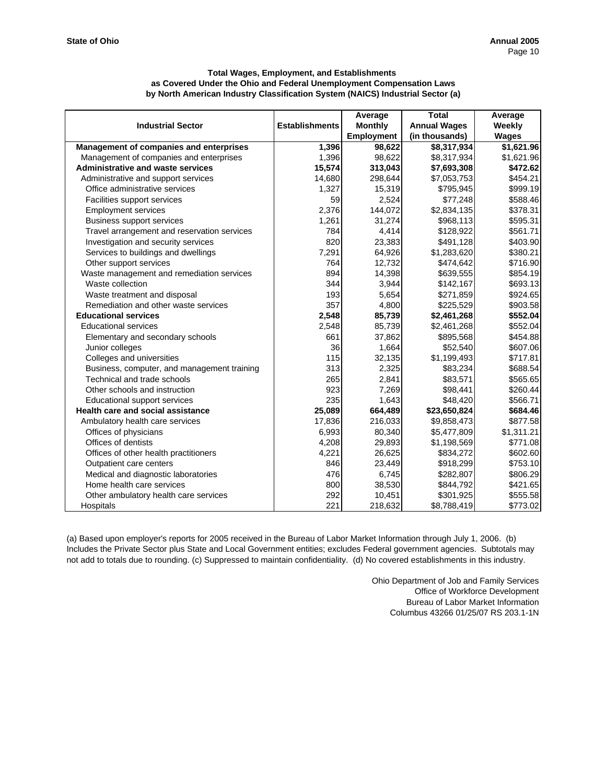|                                             |                       | Average           | <b>Total</b>        | Average    |
|---------------------------------------------|-----------------------|-------------------|---------------------|------------|
| <b>Industrial Sector</b>                    | <b>Establishments</b> | <b>Monthly</b>    | <b>Annual Wages</b> | Weekly     |
|                                             |                       | <b>Employment</b> | (in thousands)      | Wages      |
| Management of companies and enterprises     | 1,396                 | 98,622            | \$8,317,934         | \$1,621.96 |
| Management of companies and enterprises     | 1,396                 | 98,622            | \$8,317,934         | \$1,621.96 |
| <b>Administrative and waste services</b>    | 15,574                | 313,043           | \$7,693,308         | \$472.62   |
| Administrative and support services         | 14,680                | 298,644           | \$7,053,753         | \$454.21   |
| Office administrative services              | 1,327                 | 15,319            | \$795,945           | \$999.19   |
| Facilities support services                 | 59                    | 2,524             | \$77,248            | \$588.46   |
| <b>Employment services</b>                  | 2,376                 | 144,072           | \$2,834,135         | \$378.31   |
| <b>Business support services</b>            | 1,261                 | 31,274            | \$968,113           | \$595.31   |
| Travel arrangement and reservation services | 784                   | 4,414             | \$128,922           | \$561.71   |
| Investigation and security services         | 820                   | 23,383            | \$491,128           | \$403.90   |
| Services to buildings and dwellings         | 7,291                 | 64,926            | \$1,283,620         | \$380.21   |
| Other support services                      | 764                   | 12,732            | \$474,642           | \$716.90   |
| Waste management and remediation services   | 894                   | 14,398            | \$639,555           | \$854.19   |
| Waste collection                            | 344                   | 3,944             | \$142,167           | \$693.13   |
| Waste treatment and disposal                | 193                   | 5,654             | \$271,859           | \$924.65   |
| Remediation and other waste services        | 357                   | 4,800             | \$225,529           | \$903.58   |
| <b>Educational services</b>                 | 2,548                 | 85,739            | \$2,461,268         | \$552.04   |
| <b>Educational services</b>                 | 2,548                 | 85,739            | \$2,461,268         | \$552.04   |
| Elementary and secondary schools            | 661                   | 37,862            | \$895,568           | \$454.88   |
| Junior colleges                             | 36                    | 1,664             | \$52,540            | \$607.06   |
| Colleges and universities                   | 115                   | 32,135            | \$1,199,493         | \$717.81   |
| Business, computer, and management training | 313                   | 2,325             | \$83,234            | \$688.54   |
| Technical and trade schools                 | 265                   | 2,841             | \$83,571            | \$565.65   |
| Other schools and instruction               | 923                   | 7,269             | \$98,441            | \$260.44   |
| Educational support services                | 235                   | 1,643             | \$48,420            | \$566.71   |
| Health care and social assistance           | 25,089                | 664,489           | \$23,650,824        | \$684.46   |
| Ambulatory health care services             | 17,836                | 216,033           | \$9,858,473         | \$877.58   |
| Offices of physicians                       | 6,993                 | 80,340            | \$5,477,809         | \$1,311.21 |
| Offices of dentists                         | 4,208                 | 29,893            | \$1,198,569         | \$771.08   |
| Offices of other health practitioners       | 4,221                 | 26,625            | \$834,272           | \$602.60   |
| Outpatient care centers                     | 846                   | 23,449            | \$918,299           | \$753.10   |
| Medical and diagnostic laboratories         | 476                   | 6,745             | \$282,807           | \$806.29   |
| Home health care services                   | 800                   | 38,530            | \$844,792           | \$421.65   |
| Other ambulatory health care services       | 292                   | 10,451            | \$301,925           | \$555.58   |
| Hospitals                                   | 221                   | 218,632           | \$8,788,419         | \$773.02   |

(a) Based upon employer's reports for 2005 received in the Bureau of Labor Market Information through July 1, 2006. (b) Includes the Private Sector plus State and Local Government entities; excludes Federal government agencies. Subtotals may not add to totals due to rounding. (c) Suppressed to maintain confidentiality. (d) No covered establishments in this industry.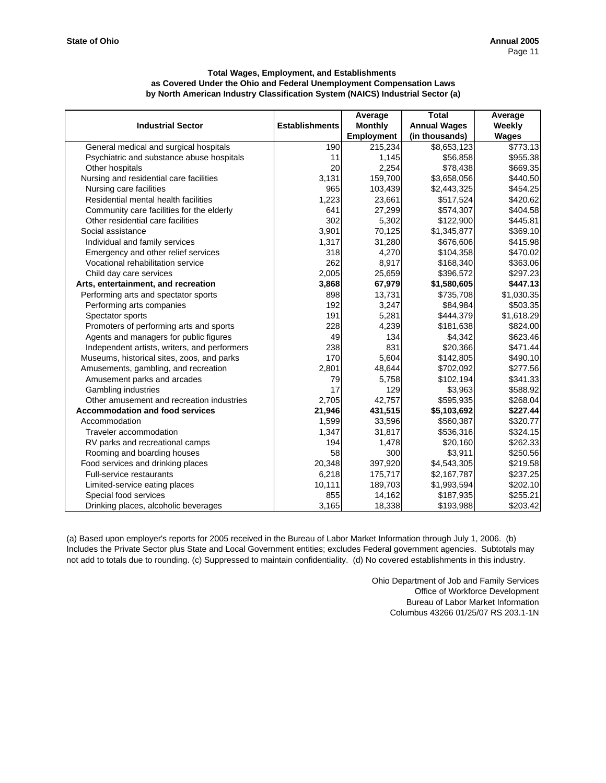|                                              |                       | Average           | <b>Total</b>        | Average    |
|----------------------------------------------|-----------------------|-------------------|---------------------|------------|
| <b>Industrial Sector</b>                     | <b>Establishments</b> | <b>Monthly</b>    | <b>Annual Wages</b> | Weekly     |
|                                              |                       | <b>Employment</b> | (in thousands)      | Wages      |
| General medical and surgical hospitals       | 190                   | 215,234           | \$8,653,123         | \$773.13   |
| Psychiatric and substance abuse hospitals    | 11                    | 1,145             | \$56,858            | \$955.38   |
| Other hospitals                              | 20                    | 2,254             | \$78,438            | \$669.35   |
| Nursing and residential care facilities      | 3,131                 | 159,700           | \$3,658,056         | \$440.50   |
| Nursing care facilities                      | 965                   | 103,439           | \$2,443,325         | \$454.25   |
| Residential mental health facilities         | 1,223                 | 23,661            | \$517,524           | \$420.62   |
| Community care facilities for the elderly    | 641                   | 27,299            | \$574,307           | \$404.58   |
| Other residential care facilities            | 302                   | 5,302             | \$122,900           | \$445.81   |
| Social assistance                            | 3,901                 | 70,125            | \$1,345,877         | \$369.10   |
| Individual and family services               | 1,317                 | 31,280            | \$676,606           | \$415.98   |
| Emergency and other relief services          | 318                   | 4,270             | \$104,358           | \$470.02   |
| Vocational rehabilitation service            | 262                   | 8,917             | \$168,340           | \$363.06   |
| Child day care services                      | 2,005                 | 25,659            | \$396,572           | \$297.23   |
| Arts, entertainment, and recreation          | 3,868                 | 67,979            | \$1,580,605         | \$447.13   |
| Performing arts and spectator sports         | 898                   | 13,731            | \$735,708           | \$1,030.35 |
| Performing arts companies                    | 192                   | 3,247             | \$84,984            | \$503.35   |
| Spectator sports                             | 191                   | 5,281             | \$444,379           | \$1,618.29 |
| Promoters of performing arts and sports      | 228                   | 4,239             | \$181,638           | \$824.00   |
| Agents and managers for public figures       | 49                    | 134               | \$4,342             | \$623.46   |
| Independent artists, writers, and performers | 238                   | 831               | \$20,366            | \$471.44   |
| Museums, historical sites, zoos, and parks   | 170                   | 5,604             | \$142,805           | \$490.10   |
| Amusements, gambling, and recreation         | 2,801                 | 48,644            | \$702,092           | \$277.56   |
| Amusement parks and arcades                  | 79                    | 5,758             | \$102,194           | \$341.33   |
| Gambling industries                          | 17                    | 129               | \$3,963             | \$588.92   |
| Other amusement and recreation industries    | 2,705                 | 42,757            | \$595,935           | \$268.04   |
| <b>Accommodation and food services</b>       | 21,946                | 431,515           | \$5,103,692         | \$227.44   |
| Accommodation                                | 1,599                 | 33,596            | \$560,387           | \$320.77   |
| Traveler accommodation                       | 1,347                 | 31,817            | \$536,316           | \$324.15   |
| RV parks and recreational camps              | 194                   | 1,478             | \$20,160            | \$262.33   |
| Rooming and boarding houses                  | 58                    | 300               | \$3,911             | \$250.56   |
| Food services and drinking places            | 20,348                | 397,920           | \$4,543,305         | \$219.58   |
| <b>Full-service restaurants</b>              | 6,218                 | 175,717           | \$2,167,787         | \$237.25   |
| Limited-service eating places                | 10,111                | 189,703           | \$1,993,594         | \$202.10   |
| Special food services                        | 855                   | 14,162            | \$187,935           | \$255.21   |
| Drinking places, alcoholic beverages         | 3,165                 | 18,338            | \$193,988           | \$203.42   |

(a) Based upon employer's reports for 2005 received in the Bureau of Labor Market Information through July 1, 2006. (b) Includes the Private Sector plus State and Local Government entities; excludes Federal government agencies. Subtotals may not add to totals due to rounding. (c) Suppressed to maintain confidentiality. (d) No covered establishments in this industry.